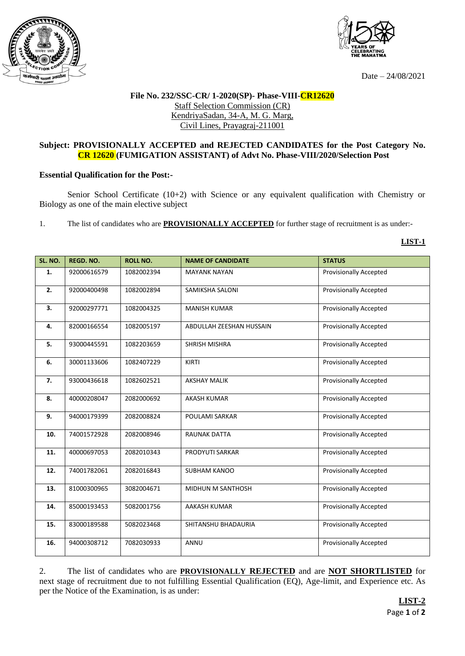



Date – 24/08/2021

## **File No. 232/SSC-CR/ 1-2020(SP)- Phase-VIII-CR12620** Staff Selection Commission (CR) KendriyaSadan, 34-A, M. G. Marg, Civil Lines, Prayagraj-211001

## **Subject: PROVISIONALLY ACCEPTED and REJECTED CANDIDATES for the Post Category No. CR 12620 (FUMIGATION ASSISTANT) of Advt No. Phase-VIII/2020/Selection Post**

## **Essential Qualification for the Post:-**

Senior School Certificate (10+2) with Science or any equivalent qualification with Chemistry or Biology as one of the main elective subject

1. The list of candidates who are **PROVISIONALLY ACCEPTED** for further stage of recruitment is as under:-

## **LIST-1**

| SL. NO. | <b>REGD. NO.</b> | <b>ROLL NO.</b> | <b>NAME OF CANDIDATE</b> | <b>STATUS</b>                 |
|---------|------------------|-----------------|--------------------------|-------------------------------|
| 1.      | 92000616579      | 1082002394      | <b>MAYANK NAYAN</b>      | <b>Provisionally Accepted</b> |
| 2.      | 92000400498      | 1082002894      | SAMIKSHA SALONI          | <b>Provisionally Accepted</b> |
| 3.      | 92000297771      | 1082004325      | <b>MANISH KUMAR</b>      | <b>Provisionally Accepted</b> |
| 4.      | 82000166554      | 1082005197      | ABDULLAH ZEESHAN HUSSAIN | <b>Provisionally Accepted</b> |
| 5.      | 93000445591      | 1082203659      | <b>SHRISH MISHRA</b>     | <b>Provisionally Accepted</b> |
| 6.      | 30001133606      | 1082407229      | KIRTI                    | <b>Provisionally Accepted</b> |
| 7.      | 93000436618      | 1082602521      | <b>AKSHAY MALIK</b>      | <b>Provisionally Accepted</b> |
| 8.      | 40000208047      | 2082000692      | <b>AKASH KUMAR</b>       | <b>Provisionally Accepted</b> |
| 9.      | 94000179399      | 2082008824      | POULAMI SARKAR           | <b>Provisionally Accepted</b> |
| 10.     | 74001572928      | 2082008946      | <b>RAUNAK DATTA</b>      | <b>Provisionally Accepted</b> |
| 11.     | 40000697053      | 2082010343      | PRODYUTI SARKAR          | <b>Provisionally Accepted</b> |
| 12.     | 74001782061      | 2082016843      | <b>SUBHAM KANOO</b>      | <b>Provisionally Accepted</b> |
| 13.     | 81000300965      | 3082004671      | MIDHUN M SANTHOSH        | <b>Provisionally Accepted</b> |
| 14.     | 85000193453      | 5082001756      | AAKASH KUMAR             | <b>Provisionally Accepted</b> |
| 15.     | 83000189588      | 5082023468      | SHITANSHU BHADAURIA      | <b>Provisionally Accepted</b> |
| 16.     | 94000308712      | 7082030933      | ANNU                     | <b>Provisionally Accepted</b> |

2. The list of candidates who are **PROVISIONALLY REJECTED** and are **NOT SHORTLISTED** for next stage of recruitment due to not fulfilling Essential Qualification (EQ), Age-limit, and Experience etc. As per the Notice of the Examination, is as under: